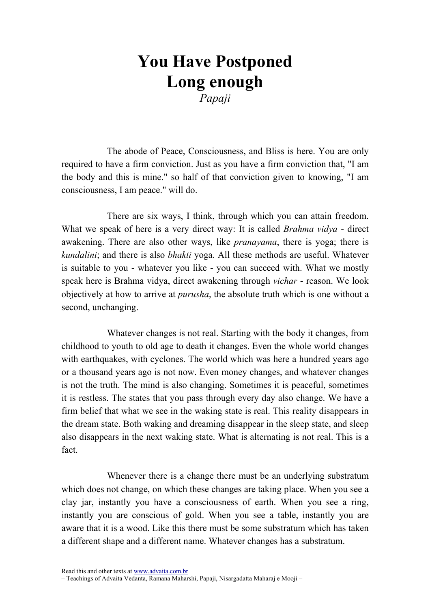## You Have Postponed Long enough

Papaji

The abode of Peace, Consciousness, and Bliss is here. You are only required to have a firm conviction. Just as you have a firm conviction that, "I am the body and this is mine." so half of that conviction given to knowing, "I am consciousness, I am peace." will do.

There are six ways, I think, through which you can attain freedom. What we speak of here is a very direct way: It is called *Brahma vidya* - direct awakening. There are also other ways, like *pranayama*, there is yoga; there is kundalini; and there is also bhakti yoga. All these methods are useful. Whatever is suitable to you - whatever you like - you can succeed with. What we mostly speak here is Brahma vidya, direct awakening through vichar - reason. We look objectively at how to arrive at *purusha*, the absolute truth which is one without a second, unchanging.

Whatever changes is not real. Starting with the body it changes, from childhood to youth to old age to death it changes. Even the whole world changes with earthquakes, with cyclones. The world which was here a hundred years ago or a thousand years ago is not now. Even money changes, and whatever changes is not the truth. The mind is also changing. Sometimes it is peaceful, sometimes it is restless. The states that you pass through every day also change. We have a firm belief that what we see in the waking state is real. This reality disappears in the dream state. Both waking and dreaming disappear in the sleep state, and sleep also disappears in the next waking state. What is alternating is not real. This is a fact.

Whenever there is a change there must be an underlying substratum which does not change, on which these changes are taking place. When you see a clay jar, instantly you have a consciousness of earth. When you see a ring, instantly you are conscious of gold. When you see a table, instantly you are aware that it is a wood. Like this there must be some substratum which has taken a different shape and a different name. Whatever changes has a substratum.

Read this and other texts at www.advaita.com.br

<sup>–</sup> Teachings of Advaita Vedanta, Ramana Maharshi, Papaji, Nisargadatta Maharaj e Mooji –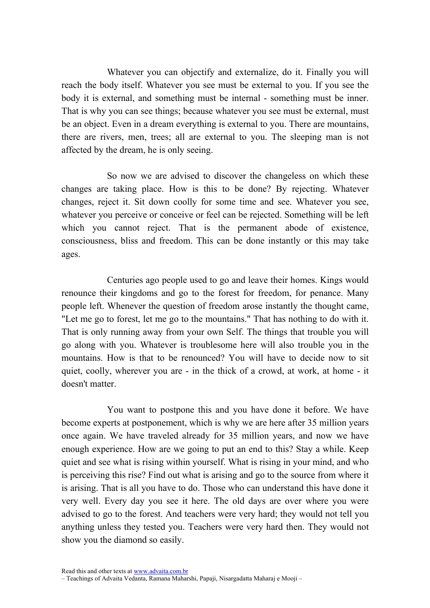Whatever you can objectify and externalize, do it. Finally you will reach the body itself. Whatever you see must be external to you. If you see the body it is external, and something must be internal - something must be inner. That is why you can see things; because whatever you see must be external, must be an object. Even in a dream everything is external to you. There are mountains, there are rivers, men, trees; all are external to you. The sleeping man is not affected by the dream, he is only seeing.

So now we are advised to discover the changeless on which these changes are taking place. How is this to be done? By rejecting. Whatever changes, reject it. Sit down coolly for some time and see. Whatever you see, whatever you perceive or conceive or feel can be rejected. Something will be left which you cannot reject. That is the permanent abode of existence, consciousness, bliss and freedom. This can be done instantly or this may take ages.

Centuries ago people used to go and leave their homes. Kings would renounce their kingdoms and go to the forest for freedom, for penance. Many people left. Whenever the question of freedom arose instantly the thought came, "Let me go to forest, let me go to the mountains." That has nothing to do with it. That is only running away from your own Self. The things that trouble you will go along with you. Whatever is troublesome here will also trouble you in the mountains. How is that to be renounced? You will have to decide now to sit quiet, coolly, wherever you are - in the thick of a crowd, at work, at home - it doesn't matter.

You want to postpone this and you have done it before. We have become experts at postponement, which is why we are here after 35 million years once again. We have traveled already for 35 million years, and now we have enough experience. How are we going to put an end to this? Stay a while. Keep quiet and see what is rising within yourself. What is rising in your mind, and who is perceiving this rise? Find out what is arising and go to the source from where it is arising. That is all you have to do. Those who can understand this have done it very well. Every day you see it here. The old days are over where you were advised to go to the forest. And teachers were very hard; they would not tell you anything unless they tested you. Teachers were very hard then. They would not show you the diamond so easily.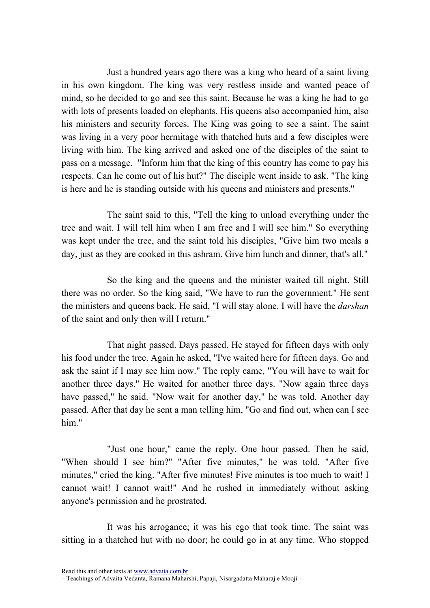Just a hundred years ago there was a king who heard of a saint living in his own kingdom. The king was very restless inside and wanted peace of mind, so he decided to go and see this saint. Because he was a king he had to go with lots of presents loaded on elephants. His queens also accompanied him, also his ministers and security forces. The King was going to see a saint. The saint was living in a very poor hermitage with thatched huts and a few disciples were living with him. The king arrived and asked one of the disciples of the saint to pass on a message. "Inform him that the king of this country has come to pay his respects. Can he come out of his hut?" The disciple went inside to ask. "The king is here and he is standing outside with his queens and ministers and presents."

The saint said to this, "Tell the king to unload everything under the tree and wait. I will tell him when I am free and I will see him." So everything was kept under the tree, and the saint told his disciples, "Give him two meals a day, just as they are cooked in this ashram. Give him lunch and dinner, that's all."

So the king and the queens and the minister waited till night. Still there was no order. So the king said, "We have to run the government." He sent the ministers and queens back. He said, "I will stay alone. I will have the darshan of the saint and only then will I return."

That night passed. Days passed. He stayed for fifteen days with only his food under the tree. Again he asked, "I've waited here for fifteen days. Go and ask the saint if I may see him now." The reply came, "You will have to wait for another three days." He waited for another three days. "Now again three days have passed," he said. "Now wait for another day," he was told. Another day passed. After that day he sent a man telling him, "Go and find out, when can I see him."

"Just one hour," came the reply. One hour passed. Then he said, "When should I see him?" "After five minutes," he was told. "After five minutes," cried the king. "After five minutes! Five minutes is too much to wait! I cannot wait! I cannot wait!" And he rushed in immediately without asking anyone's permission and he prostrated.

It was his arrogance; it was his ego that took time. The saint was sitting in a thatched hut with no door; he could go in at any time. Who stopped

Read this and other texts at www.advaita.com.br

<sup>–</sup> Teachings of Advaita Vedanta, Ramana Maharshi, Papaji, Nisargadatta Maharaj e Mooji –